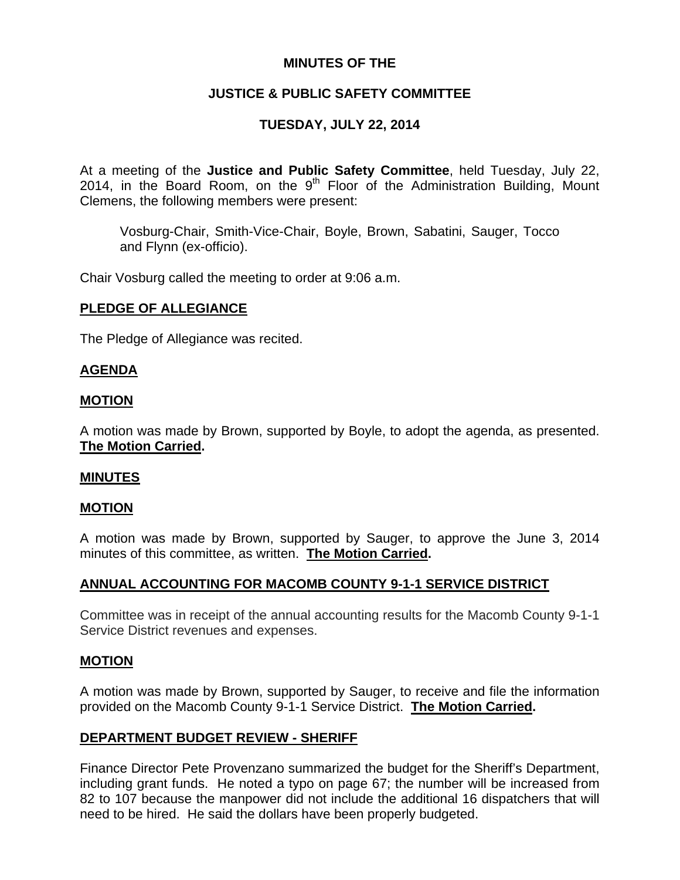# **MINUTES OF THE**

# **JUSTICE & PUBLIC SAFETY COMMITTEE**

# **TUESDAY, JULY 22, 2014**

At a meeting of the **Justice and Public Safety Committee**, held Tuesday, July 22, 2014, in the Board Room, on the  $9<sup>th</sup>$  Floor of the Administration Building, Mount Clemens, the following members were present:

Vosburg-Chair, Smith-Vice-Chair, Boyle, Brown, Sabatini, Sauger, Tocco and Flynn (ex-officio).

Chair Vosburg called the meeting to order at 9:06 a.m.

### **PLEDGE OF ALLEGIANCE**

The Pledge of Allegiance was recited.

### **AGENDA**

### **MOTION**

A motion was made by Brown, supported by Boyle, to adopt the agenda, as presented. **The Motion Carried.** 

### **MINUTES**

### **MOTION**

A motion was made by Brown, supported by Sauger, to approve the June 3, 2014 minutes of this committee, as written. **The Motion Carried.** 

# **ANNUAL ACCOUNTING FOR MACOMB COUNTY 9-1-1 SERVICE DISTRICT**

Committee was in receipt of the annual accounting results for the Macomb County 9-1-1 Service District revenues and expenses.

### **MOTION**

A motion was made by Brown, supported by Sauger, to receive and file the information provided on the Macomb County 9-1-1 Service District. **The Motion Carried.** 

# **DEPARTMENT BUDGET REVIEW - SHERIFF**

Finance Director Pete Provenzano summarized the budget for the Sheriff's Department, including grant funds. He noted a typo on page 67; the number will be increased from 82 to 107 because the manpower did not include the additional 16 dispatchers that will need to be hired. He said the dollars have been properly budgeted.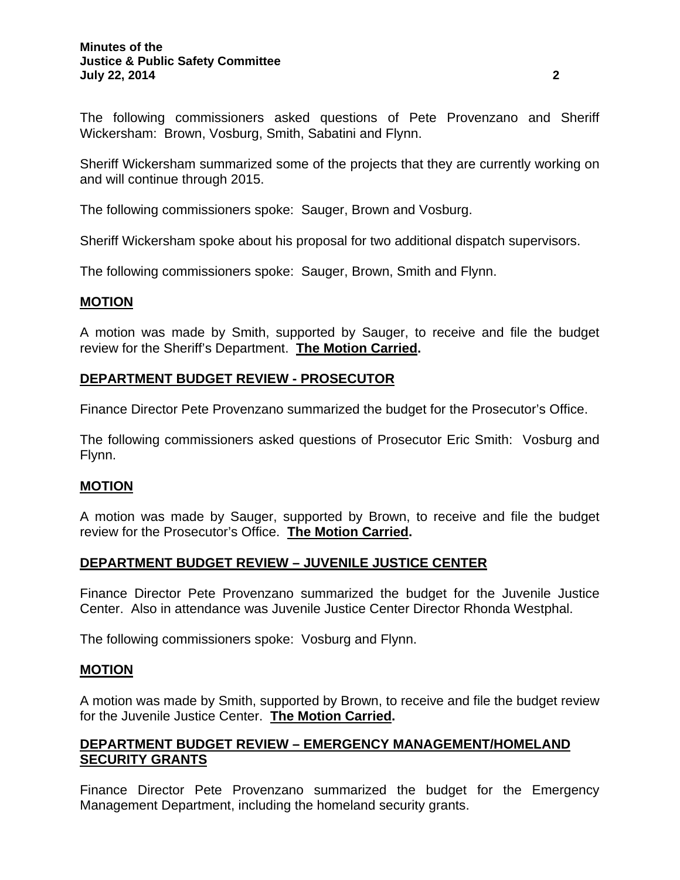The following commissioners asked questions of Pete Provenzano and Sheriff Wickersham: Brown, Vosburg, Smith, Sabatini and Flynn.

Sheriff Wickersham summarized some of the projects that they are currently working on and will continue through 2015.

The following commissioners spoke: Sauger, Brown and Vosburg.

Sheriff Wickersham spoke about his proposal for two additional dispatch supervisors.

The following commissioners spoke: Sauger, Brown, Smith and Flynn.

### **MOTION**

A motion was made by Smith, supported by Sauger, to receive and file the budget review for the Sheriff's Department. **The Motion Carried.** 

# **DEPARTMENT BUDGET REVIEW - PROSECUTOR**

Finance Director Pete Provenzano summarized the budget for the Prosecutor's Office.

The following commissioners asked questions of Prosecutor Eric Smith: Vosburg and Flynn.

# **MOTION**

A motion was made by Sauger, supported by Brown, to receive and file the budget review for the Prosecutor's Office. **The Motion Carried.** 

# **DEPARTMENT BUDGET REVIEW – JUVENILE JUSTICE CENTER**

Finance Director Pete Provenzano summarized the budget for the Juvenile Justice Center. Also in attendance was Juvenile Justice Center Director Rhonda Westphal.

The following commissioners spoke: Vosburg and Flynn.

### **MOTION**

A motion was made by Smith, supported by Brown, to receive and file the budget review for the Juvenile Justice Center. **The Motion Carried.** 

# **DEPARTMENT BUDGET REVIEW – EMERGENCY MANAGEMENT/HOMELAND SECURITY GRANTS**

Finance Director Pete Provenzano summarized the budget for the Emergency Management Department, including the homeland security grants.